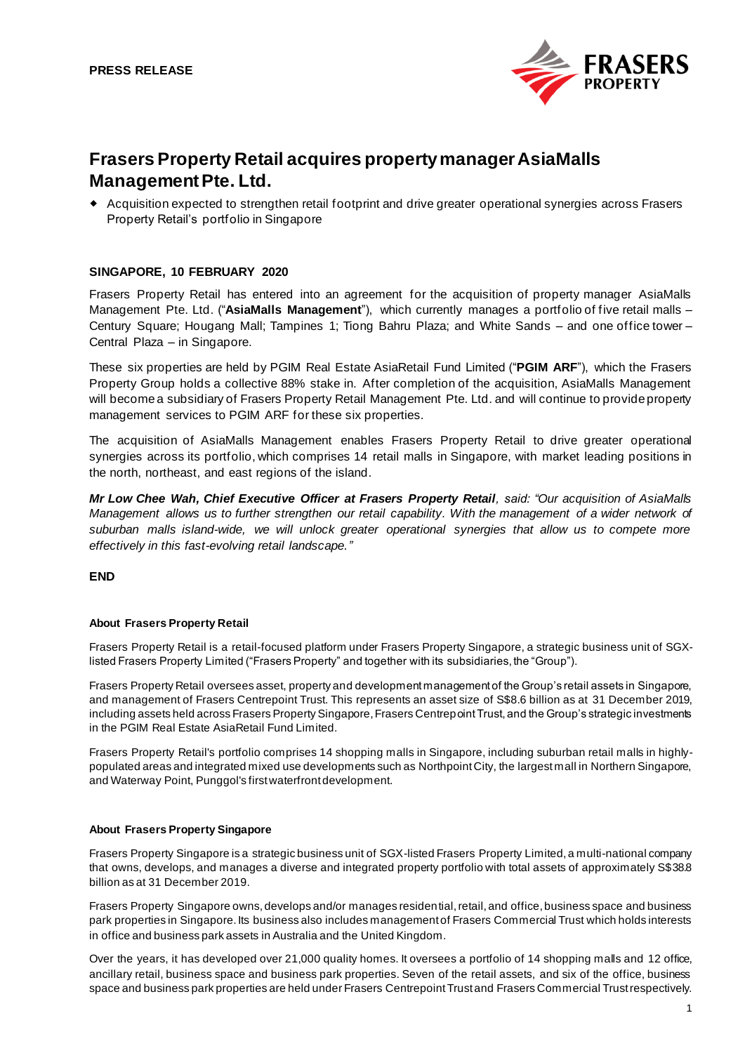

# **Frasers Property Retail acquires property manager AsiaMalls Management Pte. Ltd.**

 Acquisition expected to strengthen retail footprint and drive greater operational synergies across Frasers Property Retail's portfolio in Singapore

### **SINGAPORE, 10 FEBRUARY 2020**

Frasers Property Retail has entered into an agreement for the acquisition of property manager AsiaMalls Management Pte. Ltd. ("**AsiaMalls Management**"), which currently manages a portfolio of five retail malls – Century Square; Hougang Mall; Tampines 1; Tiong Bahru Plaza; and White Sands – and one office tower – Central Plaza – in Singapore.

These six properties are held by PGIM Real Estate AsiaRetail Fund Limited ("**PGIM ARF**"), which the Frasers Property Group holds a collective 88% stake in. After completion of the acquisition, AsiaMalls Management will become a subsidiary of Frasers Property Retail Management Pte. Ltd. and will continue to provide property management services to PGIM ARF for these six properties.

The acquisition of AsiaMalls Management enables Frasers Property Retail to drive greater operational synergies across its portfolio, which comprises 14 retail malls in Singapore, with market leading positions in the north, northeast, and east regions of the island.

*Mr Low Chee Wah, Chief Executive Officer at Frasers Property Retail, said: "Our acquisition of AsiaMalls Management allows us to further strengthen our retail capability. With the management of a wider network of suburban malls island-wide, we will unlock greater operational synergies that allow us to compete more effectively in this fast-evolving retail landscape."*

#### **END**

#### **About Frasers Property Retail**

Frasers Property Retail is a retail-focused platform under Frasers Property Singapore, a strategic business unit of SGXlisted Frasers Property Limited ("Frasers Property" and together with its subsidiaries, the "Group").

Frasers Property Retail oversees asset, property and development management of the Group's retail assets in Singapore, and management of Frasers Centrepoint Trust. This represents an asset size of S\$8.6 billion as at 31 December 2019, including assets held across Frasers Property Singapore, Frasers Centrepoint Trust, and the Group's strategic investments in the PGIM Real Estate AsiaRetail Fund Limited.

Frasers Property Retail's portfolio comprises 14 shopping malls in Singapore, including suburban retail malls in highlypopulated areas and integrated mixed use developments such as Northpoint City, the largest mall in Northern Singapore, and Waterway Point, Punggol's first waterfront development.

#### **About Frasers Property Singapore**

Frasers Property Singapore is a strategic business unit of SGX-listed Frasers Property Limited, a multi-national company that owns, develops, and manages a diverse and integrated property portfolio with total assets of approximately S\$38.8 billion as at 31 December 2019.

Frasers Property Singapore owns, develops and/or manages residential, retail, and office, business space and business park properties in Singapore. Its business also includes management of Frasers Commercial Trust which holds interests in office and business park assets in Australia and the United Kingdom.

Over the years, it has developed over 21,000 quality homes. It oversees a portfolio of 14 shopping malls and 12 office, ancillary retail, business space and business park properties. Seven of the retail assets, and six of the office, business space and business park properties are held under Frasers Centrepoint Trust and Frasers Commercial Trust respectively.